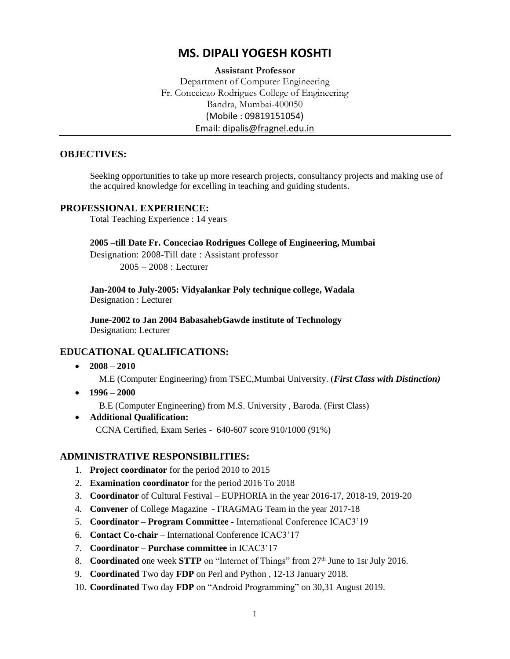# **MS. DIPALI YOGESH KOSHTI**

## **Assistant Professor** Department of Computer Engineering Fr. Conceicao Rodrigues College of Engineering Bandra, Mumbai-400050 (Mobile : 09819151054) Email: [dipalis@fragnel.edu.in](mailto:dipalis@fragnel.edu.in)

### **OBJECTIVES:**

Seeking opportunities to take up more research projects, consultancy projects and making use of the acquired knowledge for excelling in teaching and guiding students.

### **PROFESSIONAL EXPERIENCE:**

Total Teaching Experience : 14 years

#### **2005 –till Date Fr. Conceciao Rodrigues College of Engineering, Mumbai**

Designation: 2008-Till date : Assistant professor 2005 – 2008 : Lecturer

**Jan-2004 to July-2005: Vidyalankar Poly technique college, Wadala** Designation : Lecturer

**June-2002 to Jan 2004 BabasahebGawde institute of Technology** Designation: Lecturer

### **EDUCATIONAL QUALIFICATIONS:**

**2008 – 2010** 

M.E (Computer Engineering) from TSEC,Mumbai University. (*First Class with Distinction)*

**1996 – 2000** 

B.E (Computer Engineering) from M.S. University , Baroda. (First Class)

 **Additional Qualification:** CCNA Certified, Exam Series - 640-607 score 910/1000 (91%)

### **ADMINISTRATIVE RESPONSIBILITIES:**

- 1. **Project coordinator** for the period 2010 to 2015
- 2. **Examination coordinator** for the period 2016 To 2018
- 3. **Coordinator** of Cultural Festival EUPHORIA in the year 2016-17, 2018-19, 2019-20
- 4. **Convener** of College Magazine FRAGMAG Team in the year 2017-18
- 5. **Coordinator – Program Committee -** International Conference ICAC3'19
- 6. **Contact Co-chair** International Conference ICAC3'17
- 7. **Coordinator Purchase committee** in ICAC3'17
- 8. **Coordinated** one week **STTP** on "Internet of Things" from 27th June to 1sr July 2016.
- 9. **Coordinated** Two day **FDP** on Perl and Python , 12-13 January 2018.
- 10. **Coordinated** Two day **FDP** on "Android Programming" on 30,31 August 2019.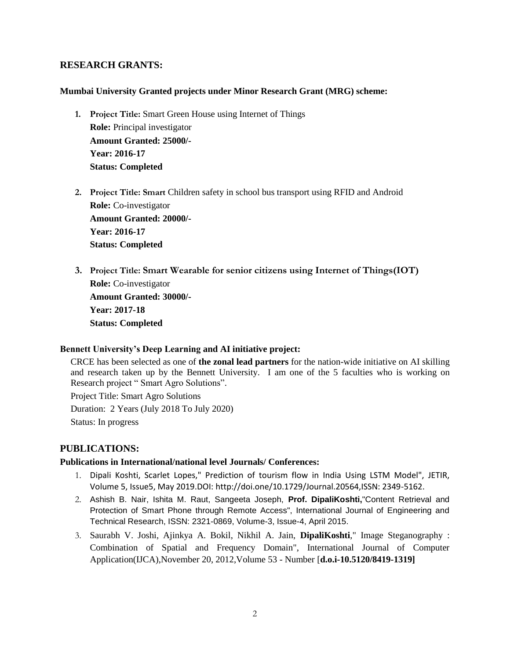## **RESEARCH GRANTS:**

#### **Mumbai University Granted projects under Minor Research Grant (MRG) scheme:**

- **1. Project Title:** Smart Green House using Internet of Things **Role:** Principal investigator **Amount Granted: 25000/- Year: 2016-17 Status: Completed**
- **2. Project Title: Smart** Children safety in school bus transport using RFID and Android **Role:** Co-investigator **Amount Granted: 20000/- Year: 2016-17 Status: Completed**
- **3. Project Title: Smart Wearable for senior citizens using Internet of Things(IOT) Role:** Co-investigator **Amount Granted: 30000/- Year: 2017-18 Status: Completed**

#### **Bennett University's Deep Learning and AI initiative project:**

CRCE has been selected as one of **the zonal lead partners** for the nation-wide initiative on AI skilling and research taken up by the Bennett University. I am one of the 5 faculties who is working on Research project " Smart Agro Solutions".

Project Title: Smart Agro Solutions Duration: 2 Years (July 2018 To July 2020)

Status: In progress

### **PUBLICATIONS:**

#### **Publications in International/national level Journals/ Conferences:**

- 1. Dipali Koshti, Scarlet Lopes," Prediction of tourism flow in India Using LSTM Model", JETIR, Volume 5, Issue5, May 2019.DOI: http://doi.one/10.1729/Journal.20564,ISSN: 2349-5162.
- 2. Ashish B. Nair, Ishita M. Raut, Sangeeta Joseph, **Prof. DipaliKoshti,**"Content Retrieval and Protection of Smart Phone through Remote Access", International Journal of Engineering and Technical Research, ISSN: 2321-0869, Volume-3, Issue-4, April 2015.
- 3. Saurabh V. Joshi, Ajinkya A. Bokil, Nikhil A. Jain, **DipaliKoshti**," Image Steganography : Combination of Spatial and Frequency Domain", International Journal of Computer Application(IJCA),November 20, 2012,Volume 53 - Number [**d.o.i-10.5120/8419-1319]**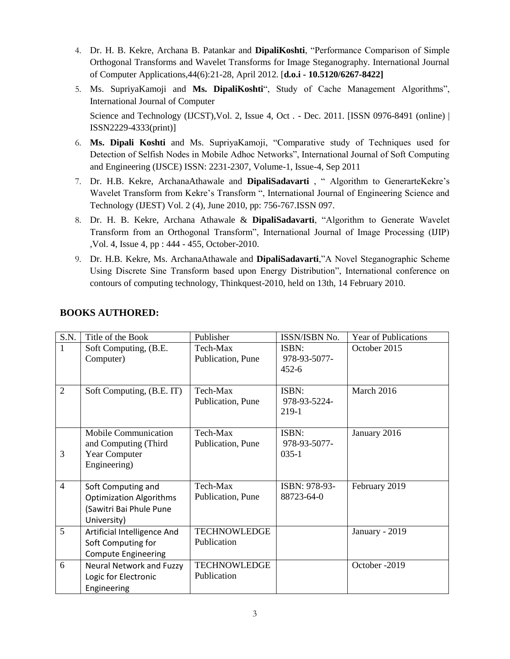- 4. Dr. H. B. Kekre, Archana B. Patankar and **DipaliKoshti**, "Performance Comparison of Simple Orthogonal Transforms and Wavelet Transforms for Image Steganography. International Journal of Computer Applications,44(6):21-28, April 2012. [**d.o.i - 10.5120/6267-8422]**
- 5. Ms. SupriyaKamoji and **Ms. DipaliKoshti**", Study of Cache Management Algorithms", International Journal of Computer

Science and Technology (IJCST), Vol. 2, Issue 4, Oct. - Dec. 2011. [ISSN 0976-8491 (online) | ISSN2229-4333(print)]

- 6. **Ms. Dipali Koshti** and Ms. SupriyaKamoji, "Comparative study of Techniques used for Detection of Selfish Nodes in Mobile Adhoc Networks", International Journal of Soft Computing and Engineering (IJSCE) ISSN: 2231-2307, Volume-1, Issue-4, Sep 2011
- 7. Dr. H.B. Kekre, ArchanaAthawale and **DipaliSadavarti** , " Algorithm to GenerarteKekre's Wavelet Transform from Kekre's Transform ", International Journal of Engineering Science and Technology (IJEST) Vol. 2 (4), June 2010, pp: 756-767.ISSN 097.
- 8. Dr. H. B. Kekre, Archana Athawale & **DipaliSadavarti**, "Algorithm to Generate Wavelet Transform from an Orthogonal Transform", International Journal of Image Processing (IJIP) ,Vol. 4, Issue 4, pp : 444 - 455, October-2010.
- 9. Dr. H.B. Kekre, Ms. ArchanaAthawale and **DipaliSadavarti**,"A Novel Steganographic Scheme Using Discrete Sine Transform based upon Energy Distribution", International conference on contours of computing technology, Thinkquest-2010, held on 13th, 14 February 2010.

| S.N.           | Title of the Book                                                                              | Publisher                          | <b>ISSN/ISBN No.</b>               | <b>Year of Publications</b> |
|----------------|------------------------------------------------------------------------------------------------|------------------------------------|------------------------------------|-----------------------------|
| 1              | Soft Computing, (B.E.<br>Computer)                                                             | Tech-Max<br>Publication, Pune      | ISBN:<br>978-93-5077-<br>$452 - 6$ | October 2015                |
| $\overline{2}$ | Soft Computing, (B.E. IT)                                                                      | Tech-Max<br>Publication, Pune      | ISBN:<br>978-93-5224-<br>219-1     | March 2016                  |
| 3              | Mobile Communication<br>and Computing (Third<br>Year Computer<br>Engineering)                  | Tech-Max<br>Publication, Pune      | ISBN:<br>978-93-5077-<br>$035-1$   | January 2016                |
| $\overline{4}$ | Soft Computing and<br><b>Optimization Algorithms</b><br>(Sawitri Bai Phule Pune<br>University) | Tech-Max<br>Publication, Pune      | ISBN: 978-93-<br>88723-64-0        | February 2019               |
| 5              | Artificial Intelligence And<br>Soft Computing for<br><b>Compute Engineering</b>                | <b>TECHNOWLEDGE</b><br>Publication |                                    | January - 2019              |
| 6              | Neural Network and Fuzzy<br>Logic for Electronic<br>Engineering                                | <b>TECHNOWLEDGE</b><br>Publication |                                    | October -2019               |

# **BOOKS AUTHORED:**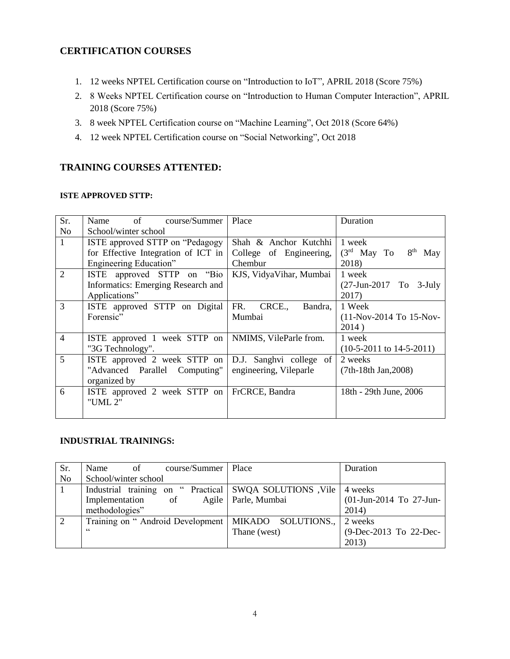## **CERTIFICATION COURSES**

- 1. 12 weeks NPTEL Certification course on "Introduction to IoT", APRIL 2018 (Score 75%)
- 2. 8 Weeks NPTEL Certification course on "Introduction to Human Computer Interaction", APRIL 2018 (Score 75%)
- 3. 8 week NPTEL Certification course on "Machine Learning", Oct 2018 (Score 64%)
- 4. 12 week NPTEL Certification course on "Social Networking", Oct 2018

## **TRAINING COURSES ATTENTED:**

#### **ISTE APPROVED STTP:**

| Sr.            | Name of<br>course/Summer            | Place                   | Duration                     |
|----------------|-------------------------------------|-------------------------|------------------------------|
| N <sub>o</sub> | School/winter school                |                         |                              |
| $\mathbf{1}$   | ISTE approved STTP on "Pedagogy     | Shah & Anchor Kutchhi   | 1 week                       |
|                | for Effective Integration of ICT in | College of Engineering, | $(3rd$ May To<br>$8th$ May   |
|                | Engineering Education"              | Chembur                 | 2018)                        |
| 2              | ISTE approved STTP on "Bio"         | KJS, VidyaVihar, Mumbai | 1 week                       |
|                | Informatics: Emerging Research and  |                         | (27-Jun-2017 To 3-July       |
|                | Applications"                       |                         | 2017)                        |
| 3              | ISTE approved STTP on Digital       | FR. CRCE.,<br>Bandra,   | 1 Week                       |
|                | Forensic"                           | Mumbai                  | (11-Nov-2014 To 15-Nov-      |
|                |                                     |                         | 2014)                        |
| $\overline{4}$ | ISTE approved 1 week STTP on        | NMIMS, VileParle from.  | 1 week                       |
|                | "3G Technology".                    |                         | $(10-5-2011$ to $14-5-2011)$ |
| 5              | ISTE approved 2 week STTP on        | D.J. Sanghvi college of | 2 weeks                      |
|                | "Advanced Parallel Computing"       | engineering, Vileparle  | $(7th-18th Jan, 2008)$       |
|                | organized by                        |                         |                              |
| 6              | ISTE approved 2 week STTP on        | FrCRCE, Bandra          | 18th - 29th June, 2006       |
|                | "UML 2"                             |                         |                              |
|                |                                     |                         |                              |

### **INDUSTRIAL TRAININGS:**

| Sr.            | Name<br>course/Summer<br>of                                        | Place                 | Duration                |
|----------------|--------------------------------------------------------------------|-----------------------|-------------------------|
| N <sub>o</sub> | School/winter school                                               |                       |                         |
|                | Industrial training on "Practical   SWQA SOLUTIONS, Vile   4 weeks |                       |                         |
|                | Implementation<br>of                                               | Agile   Parle, Mumbai | (01-Jun-2014 To 27-Jun- |
|                | methodologies"                                                     |                       | 2014)                   |
| 2              | Training on "Android Development   MIKADO SOLUTIONS., 2 weeks      |                       |                         |
|                | 66                                                                 | Thane (west)          | (9-Dec-2013 To 22-Dec-  |
|                |                                                                    |                       | 2013)                   |